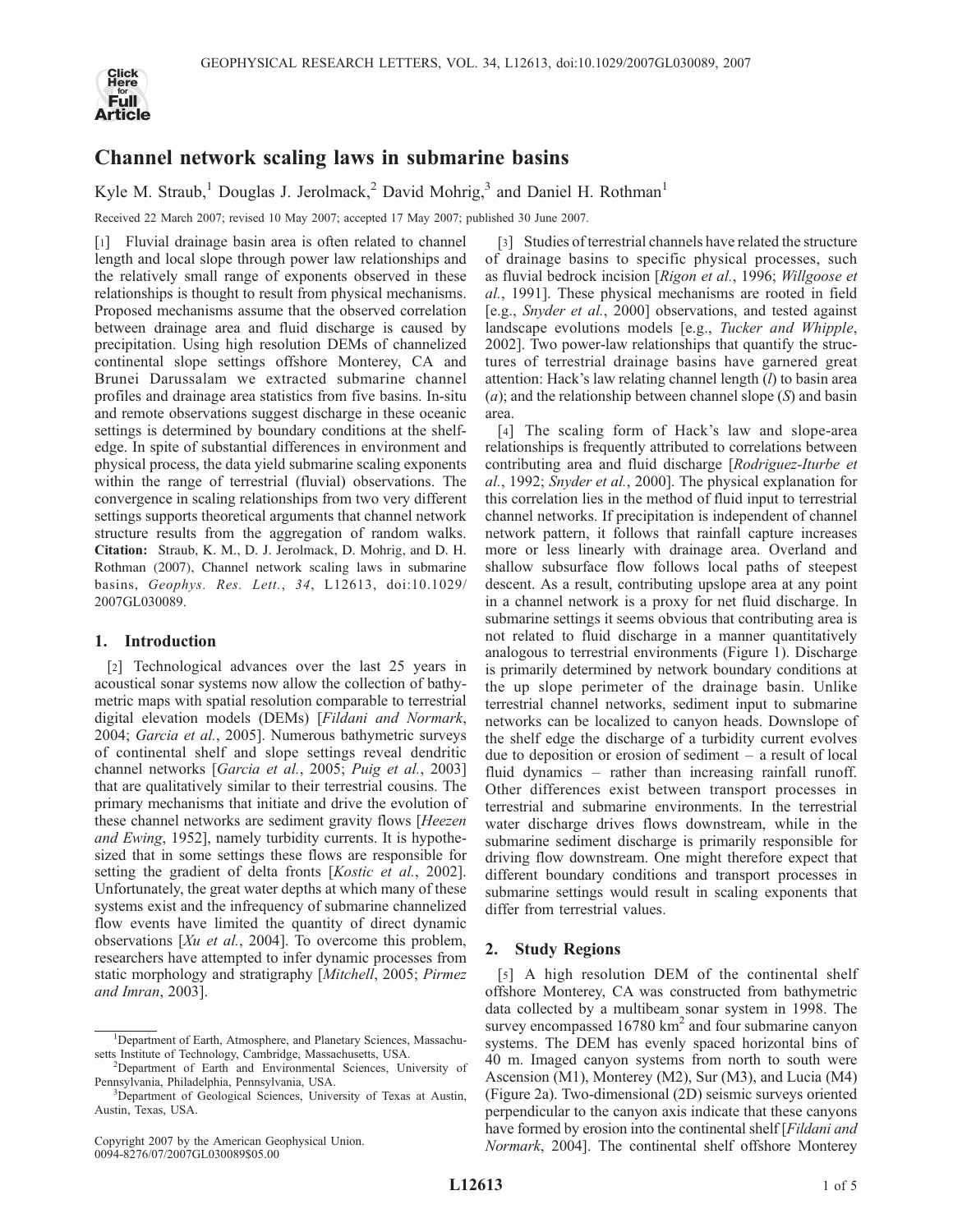

# Channel network scaling laws in submarine basins

Kyle M. Straub,<sup>1</sup> Douglas J. Jerolmack,<sup>2</sup> David Mohrig,<sup>3</sup> and Daniel H. Rothman<sup>1</sup>

Received 22 March 2007; revised 10 May 2007; accepted 17 May 2007; published 30 June 2007.

[1] Fluvial drainage basin area is often related to channel length and local slope through power law relationships and the relatively small range of exponents observed in these relationships is thought to result from physical mechanisms. Proposed mechanisms assume that the observed correlation between drainage area and fluid discharge is caused by precipitation. Using high resolution DEMs of channelized continental slope settings offshore Monterey, CA and Brunei Darussalam we extracted submarine channel profiles and drainage area statistics from five basins. In-situ and remote observations suggest discharge in these oceanic settings is determined by boundary conditions at the shelfedge. In spite of substantial differences in environment and physical process, the data yield submarine scaling exponents within the range of terrestrial (fluvial) observations. The convergence in scaling relationships from two very different settings supports theoretical arguments that channel network structure results from the aggregation of random walks. Citation: Straub, K. M., D. J. Jerolmack, D. Mohrig, and D. H. Rothman (2007), Channel network scaling laws in submarine basins, Geophys. Res. Lett., 34, L12613, doi:10.1029/ 2007GL030089.

## 1. Introduction

[2] Technological advances over the last 25 years in acoustical sonar systems now allow the collection of bathymetric maps with spatial resolution comparable to terrestrial digital elevation models (DEMs) [Fildani and Normark, 2004; Garcia et al., 2005]. Numerous bathymetric surveys of continental shelf and slope settings reveal dendritic channel networks [Garcia et al., 2005; Puig et al., 2003] that are qualitatively similar to their terrestrial cousins. The primary mechanisms that initiate and drive the evolution of these channel networks are sediment gravity flows [Heezen and Ewing, 1952], namely turbidity currents. It is hypothesized that in some settings these flows are responsible for setting the gradient of delta fronts [Kostic et al., 2002]. Unfortunately, the great water depths at which many of these systems exist and the infrequency of submarine channelized flow events have limited the quantity of direct dynamic observations [Xu et al., 2004]. To overcome this problem, researchers have attempted to infer dynamic processes from static morphology and stratigraphy [Mitchell, 2005; Pirmez and Imran, 2003].

[3] Studies of terrestrial channels have related the structure of drainage basins to specific physical processes, such as fluvial bedrock incision [Rigon et al., 1996; Willgoose et al., 1991]. These physical mechanisms are rooted in field [e.g., Snyder et al., 2000] observations, and tested against landscape evolutions models [e.g., Tucker and Whipple, 2002]. Two power-law relationships that quantify the structures of terrestrial drainage basins have garnered great attention: Hack's law relating channel length  $(l)$  to basin area (a); and the relationship between channel slope  $(S)$  and basin area.

[4] The scaling form of Hack's law and slope-area relationships is frequently attributed to correlations between contributing area and fluid discharge [Rodriguez-Iturbe et al., 1992; Snyder et al., 2000]. The physical explanation for this correlation lies in the method of fluid input to terrestrial channel networks. If precipitation is independent of channel network pattern, it follows that rainfall capture increases more or less linearly with drainage area. Overland and shallow subsurface flow follows local paths of steepest descent. As a result, contributing upslope area at any point in a channel network is a proxy for net fluid discharge. In submarine settings it seems obvious that contributing area is not related to fluid discharge in a manner quantitatively analogous to terrestrial environments (Figure 1). Discharge is primarily determined by network boundary conditions at the up slope perimeter of the drainage basin. Unlike terrestrial channel networks, sediment input to submarine networks can be localized to canyon heads. Downslope of the shelf edge the discharge of a turbidity current evolves due to deposition or erosion of sediment – a result of local fluid dynamics – rather than increasing rainfall runoff. Other differences exist between transport processes in terrestrial and submarine environments. In the terrestrial water discharge drives flows downstream, while in the submarine sediment discharge is primarily responsible for driving flow downstream. One might therefore expect that different boundary conditions and transport processes in submarine settings would result in scaling exponents that differ from terrestrial values.

## 2. Study Regions

[5] A high resolution DEM of the continental shelf offshore Monterey, CA was constructed from bathymetric data collected by a multibeam sonar system in 1998. The survey encompassed  $16780 \text{ km}^2$  and four submarine canyon systems. The DEM has evenly spaced horizontal bins of 40 m. Imaged canyon systems from north to south were Ascension (M1), Monterey (M2), Sur (M3), and Lucia (M4) (Figure 2a). Two-dimensional (2D) seismic surveys oriented perpendicular to the canyon axis indicate that these canyons have formed by erosion into the continental shelf [Fildani and Normark, 2004]. The continental shelf offshore Monterey

<sup>&</sup>lt;sup>1</sup>Department of Earth, Atmosphere, and Planetary Sciences, Massachusetts Institute of Technology, Cambridge, Massachusetts, USA. <sup>2</sup>

<sup>&</sup>lt;sup>2</sup>Department of Earth and Environmental Sciences, University of Pennsylvania, Philadelphia, Pennsylvania, USA. <sup>3</sup>

<sup>&</sup>lt;sup>3</sup>Department of Geological Sciences, University of Texas at Austin, Austin, Texas, USA.

Copyright 2007 by the American Geophysical Union. 0094-8276/07/2007GL030089\$05.00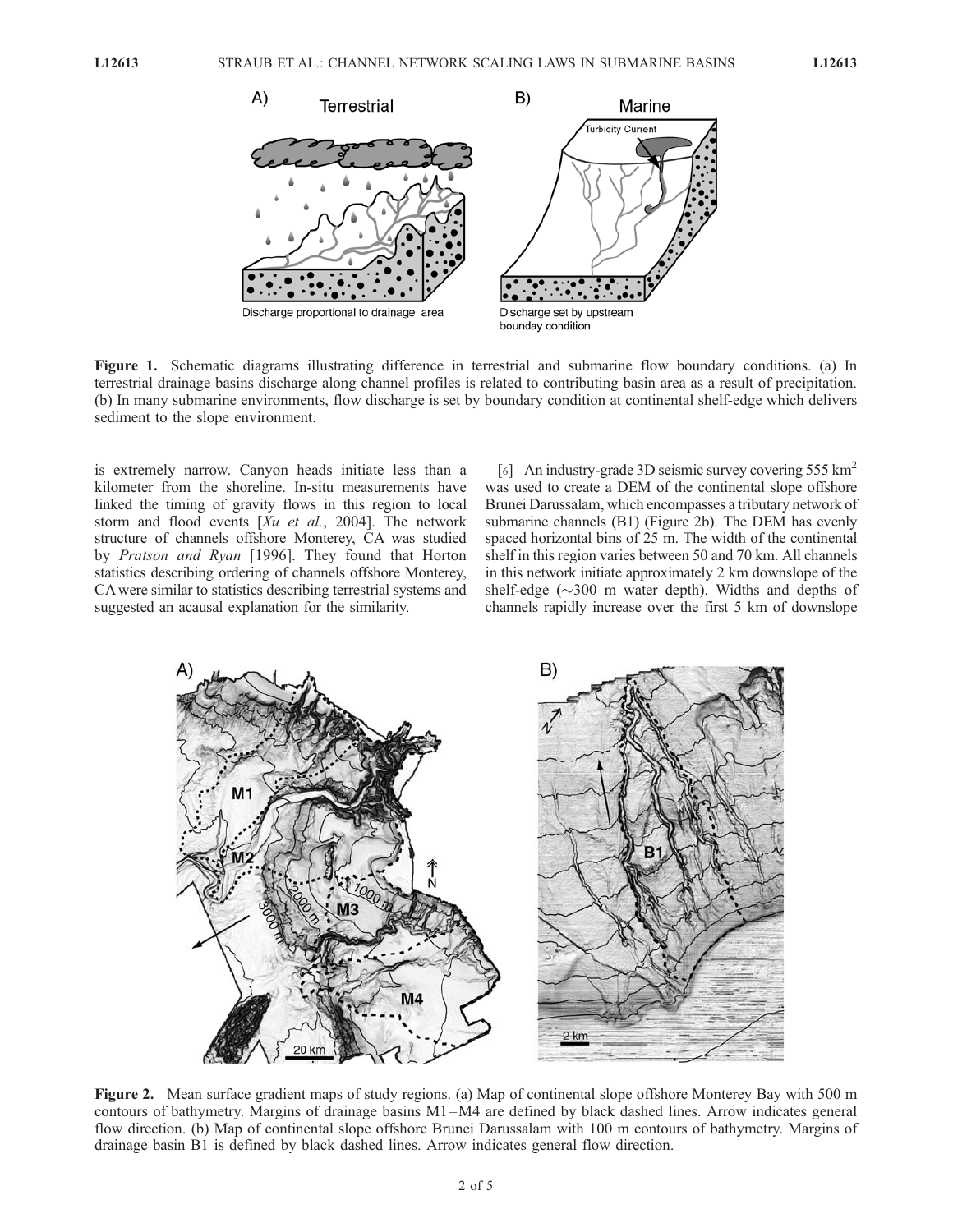

Figure 1. Schematic diagrams illustrating difference in terrestrial and submarine flow boundary conditions. (a) In terrestrial drainage basins discharge along channel profiles is related to contributing basin area as a result of precipitation. (b) In many submarine environments, flow discharge is set by boundary condition at continental shelf-edge which delivers sediment to the slope environment.

is extremely narrow. Canyon heads initiate less than a kilometer from the shoreline. In-situ measurements have linked the timing of gravity flows in this region to local storm and flood events  $[Xu \ et \ al., \ 2004]$ . The network structure of channels offshore Monterey, CA was studied by Pratson and Ryan [1996]. They found that Horton statistics describing ordering of channels offshore Monterey, CA were similar to statistics describing terrestrial systems and suggested an acausal explanation for the similarity.

[6] An industry-grade 3D seismic survey covering 555 km2 was used to create a DEM of the continental slope offshore Brunei Darussalam, which encompasses a tributary network of submarine channels (B1) (Figure 2b). The DEM has evenly spaced horizontal bins of 25 m. The width of the continental shelf in this region varies between 50 and 70 km. All channels in this network initiate approximately 2 km downslope of the shelf-edge  $(\sim)300$  m water depth). Widths and depths of channels rapidly increase over the first 5 km of downslope



Figure 2. Mean surface gradient maps of study regions. (a) Map of continental slope offshore Monterey Bay with 500 m contours of bathymetry. Margins of drainage basins M1 –M4 are defined by black dashed lines. Arrow indicates general flow direction. (b) Map of continental slope offshore Brunei Darussalam with 100 m contours of bathymetry. Margins of drainage basin B1 is defined by black dashed lines. Arrow indicates general flow direction.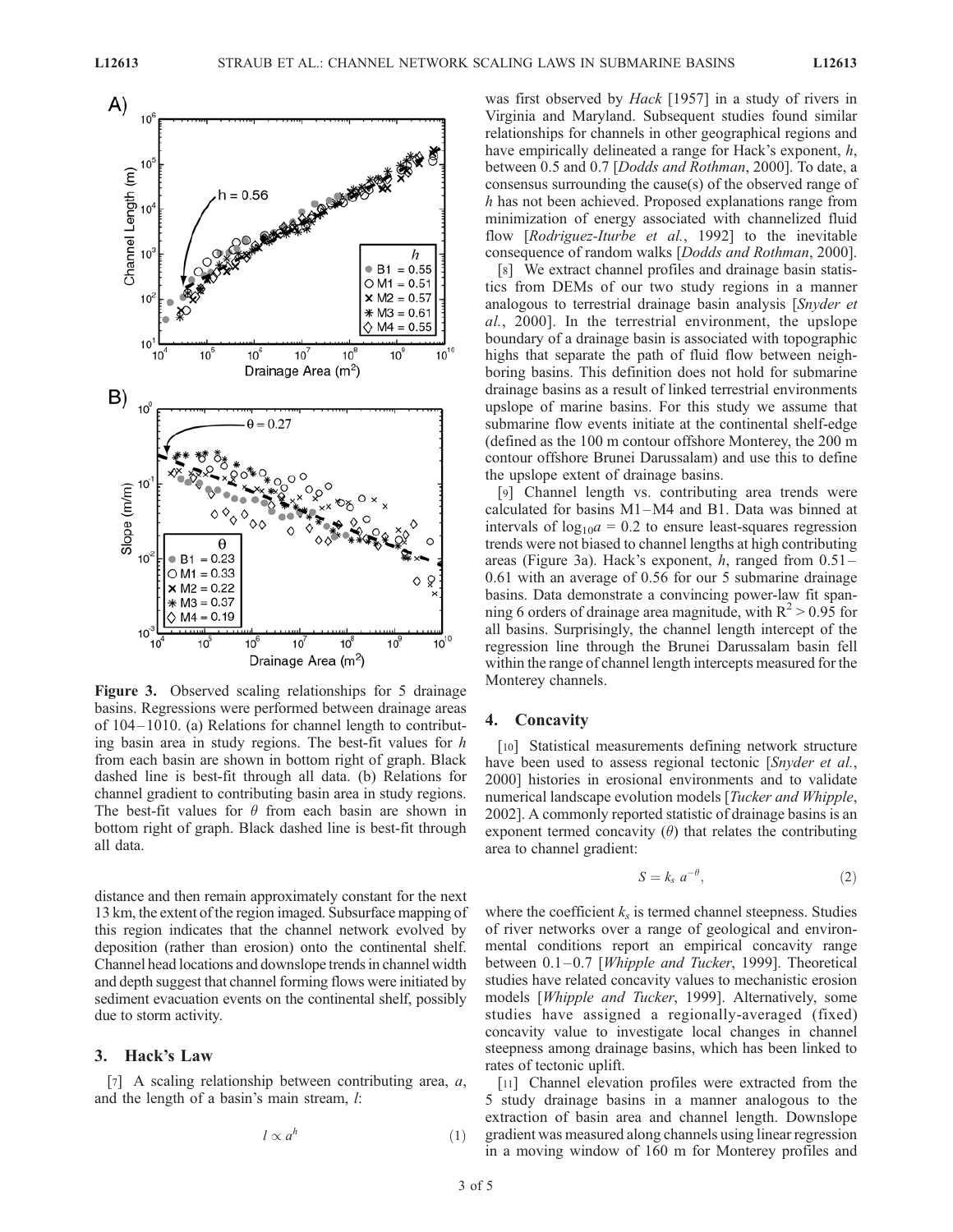

Figure 3. Observed scaling relationships for 5 drainage basins. Regressions were performed between drainage areas of 104– 1010. (a) Relations for channel length to contributing basin area in study regions. The best-fit values for h from each basin are shown in bottom right of graph. Black dashed line is best-fit through all data. (b) Relations for channel gradient to contributing basin area in study regions. The best-fit values for  $\theta$  from each basin are shown in bottom right of graph. Black dashed line is best-fit through all data.

distance and then remain approximately constant for the next 13 km, the extent of the region imaged. Subsurface mapping of this region indicates that the channel network evolved by deposition (rather than erosion) onto the continental shelf. Channel head locations and downslope trends in channel width and depth suggest that channel forming flows were initiated by sediment evacuation events on the continental shelf, possibly due to storm activity.

#### 3. Hack's Law

[7] A scaling relationship between contributing area,  $a$ , and the length of a basin's main stream, l:

$$
l \propto a^h \tag{1}
$$

was first observed by *Hack* [1957] in a study of rivers in Virginia and Maryland. Subsequent studies found similar relationships for channels in other geographical regions and have empirically delineated a range for Hack's exponent,  $h$ , between 0.5 and 0.7 [Dodds and Rothman, 2000]. To date, a consensus surrounding the cause(s) of the observed range of h has not been achieved. Proposed explanations range from minimization of energy associated with channelized fluid flow [Rodriguez-Iturbe et al., 1992] to the inevitable consequence of random walks [Dodds and Rothman, 2000].

[8] We extract channel profiles and drainage basin statistics from DEMs of our two study regions in a manner analogous to terrestrial drainage basin analysis [Snyder et al., 2000]. In the terrestrial environment, the upslope boundary of a drainage basin is associated with topographic highs that separate the path of fluid flow between neighboring basins. This definition does not hold for submarine drainage basins as a result of linked terrestrial environments upslope of marine basins. For this study we assume that submarine flow events initiate at the continental shelf-edge (defined as the 100 m contour offshore Monterey, the 200 m contour offshore Brunei Darussalam) and use this to define the upslope extent of drainage basins.

[9] Channel length vs. contributing area trends were calculated for basins M1 –M4 and B1. Data was binned at intervals of  $log_{10}a = 0.2$  to ensure least-squares regression trends were not biased to channel lengths at high contributing areas (Figure 3a). Hack's exponent,  $h$ , ranged from  $0.51-$ 0.61 with an average of 0.56 for our 5 submarine drainage basins. Data demonstrate a convincing power-law fit spanning 6 orders of drainage area magnitude, with  $R^2 > 0.95$  for all basins. Surprisingly, the channel length intercept of the regression line through the Brunei Darussalam basin fell within the range of channel length intercepts measured for the Monterey channels.

#### 4. Concavity

[10] Statistical measurements defining network structure have been used to assess regional tectonic [Snyder et al., 2000] histories in erosional environments and to validate numerical landscape evolution models [Tucker and Whipple, 2002]. A commonly reported statistic of drainage basins is an exponent termed concavity  $(\theta)$  that relates the contributing area to channel gradient:

$$
S = k_s \ a^{-\theta}, \tag{2}
$$

where the coefficient  $k<sub>s</sub>$  is termed channel steepness. Studies of river networks over a range of geological and environmental conditions report an empirical concavity range between  $0.1-0.7$  [*Whipple and Tucker*, 1999]. Theoretical studies have related concavity values to mechanistic erosion models [Whipple and Tucker, 1999]. Alternatively, some studies have assigned a regionally-averaged (fixed) concavity value to investigate local changes in channel steepness among drainage basins, which has been linked to rates of tectonic uplift.

[11] Channel elevation profiles were extracted from the 5 study drainage basins in a manner analogous to the extraction of basin area and channel length. Downslope gradient was measured along channels using linear regression in a moving window of 160 m for Monterey profiles and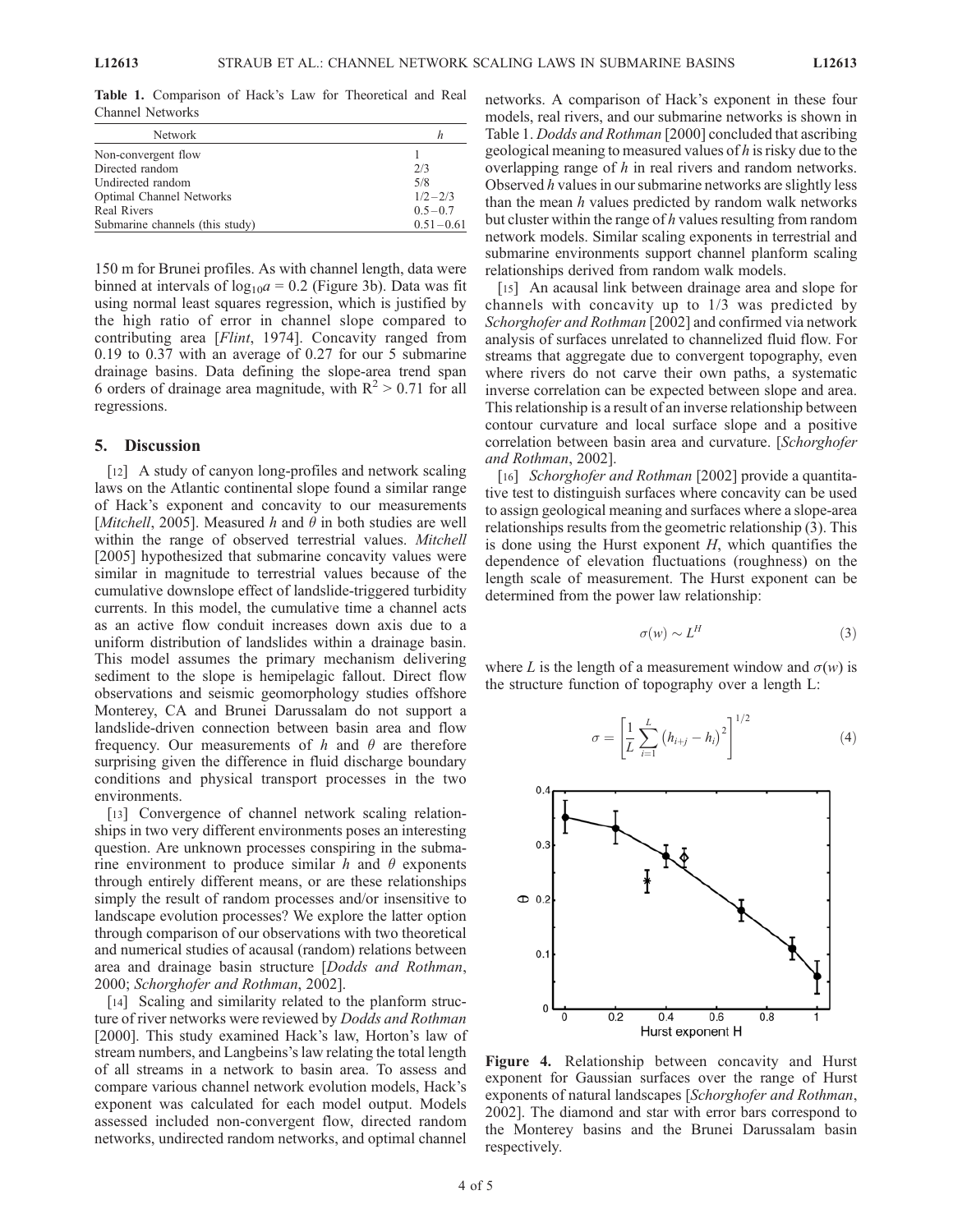Network h Non-convergent flow 1<br>Directed random 2/3 Directed random Undirected random 5/8<br>
Optimal Channel Networks 1/2-2/3 Optimal Channel Networks 1/2-2/3<br>Real Rivers 0.5-0.7 Real Rivers Submarine channels (this study)  $0.51 - 0.61$ 

Table 1. Comparison of Hack's Law for Theoretical and Real Channel Networks

150 m for Brunei profiles. As with channel length, data were binned at intervals of  $log_{10}a = 0.2$  (Figure 3b). Data was fit using normal least squares regression, which is justified by the high ratio of error in channel slope compared to contributing area [*Flint*, 1974]. Concavity ranged from 0.19 to 0.37 with an average of 0.27 for our 5 submarine drainage basins. Data defining the slope-area trend span 6 orders of drainage area magnitude, with  $R^2 > 0.71$  for all regressions.

#### 5. Discussion

[12] A study of canyon long-profiles and network scaling laws on the Atlantic continental slope found a similar range of Hack's exponent and concavity to our measurements [Mitchell, 2005]. Measured h and  $\theta$  in both studies are well within the range of observed terrestrial values. Mitchell [2005] hypothesized that submarine concavity values were similar in magnitude to terrestrial values because of the cumulative downslope effect of landslide-triggered turbidity currents. In this model, the cumulative time a channel acts as an active flow conduit increases down axis due to a uniform distribution of landslides within a drainage basin. This model assumes the primary mechanism delivering sediment to the slope is hemipelagic fallout. Direct flow observations and seismic geomorphology studies offshore Monterey, CA and Brunei Darussalam do not support a landslide-driven connection between basin area and flow frequency. Our measurements of h and  $\theta$  are therefore surprising given the difference in fluid discharge boundary conditions and physical transport processes in the two environments.

[13] Convergence of channel network scaling relationships in two very different environments poses an interesting question. Are unknown processes conspiring in the submarine environment to produce similar h and  $\theta$  exponents through entirely different means, or are these relationships simply the result of random processes and/or insensitive to landscape evolution processes? We explore the latter option through comparison of our observations with two theoretical and numerical studies of acausal (random) relations between area and drainage basin structure [Dodds and Rothman, 2000; Schorghofer and Rothman, 2002].

[14] Scaling and similarity related to the planform structure of river networks were reviewed by Dodds and Rothman [2000]. This study examined Hack's law, Horton's law of stream numbers, and Langbeins's law relating the total length of all streams in a network to basin area. To assess and compare various channel network evolution models, Hack's exponent was calculated for each model output. Models assessed included non-convergent flow, directed random networks, undirected random networks, and optimal channel

networks. A comparison of Hack's exponent in these four models, real rivers, and our submarine networks is shown in Table 1. Dodds and Rothman [2000] concluded that ascribing geological meaning to measured values of h is risky due to the overlapping range of  $h$  in real rivers and random networks. Observed h values in our submarine networks are slightly less than the mean  $h$  values predicted by random walk networks but cluster within the range of  $h$  values resulting from random network models. Similar scaling exponents in terrestrial and submarine environments support channel planform scaling relationships derived from random walk models.

[15] An acausal link between drainage area and slope for channels with concavity up to 1/3 was predicted by Schorghofer and Rothman [2002] and confirmed via network analysis of surfaces unrelated to channelized fluid flow. For streams that aggregate due to convergent topography, even where rivers do not carve their own paths, a systematic inverse correlation can be expected between slope and area. This relationship is a result of an inverse relationship between contour curvature and local surface slope and a positive correlation between basin area and curvature. [Schorghofer and Rothman, 2002].

[16] Schorghofer and Rothman [2002] provide a quantitative test to distinguish surfaces where concavity can be used to assign geological meaning and surfaces where a slope-area relationships results from the geometric relationship (3). This is done using the Hurst exponent  $H$ , which quantifies the dependence of elevation fluctuations (roughness) on the length scale of measurement. The Hurst exponent can be determined from the power law relationship:

$$
\sigma(w) \sim L^H \tag{3}
$$

where L is the length of a measurement window and  $\sigma(w)$  is the structure function of topography over a length L:

$$
\sigma = \left[\frac{1}{L} \sum_{i=1}^{L} (h_{i+j} - h_i)^2\right]^{1/2}
$$
 (4)



Figure 4. Relationship between concavity and Hurst exponent for Gaussian surfaces over the range of Hurst exponents of natural landscapes [Schorghofer and Rothman, 2002]. The diamond and star with error bars correspond to the Monterey basins and the Brunei Darussalam basin respectively.